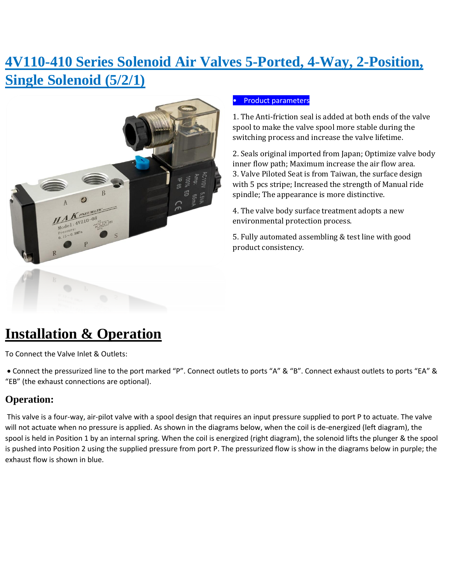# **4V110-410 Series Solenoid Air Valves 5-Ported, 4-Way, 2-Position, Single Solenoid (5/2/1)**



#### • Product parameters

1. The Anti-friction seal is added at both ends of the valve spool to make the valve spool more stable during the switching process and increase the valve lifetime.

2. Seals original imported from Japan; Optimize valve body inner flow path; Maximum increase the air flow area. 3. Valve Piloted Seat is from Taiwan, the surface design with 5 pcs stripe; Increased the strength of Manual ride spindle; The appearance is more distinctive.

4. The valve body surface treatment adopts a new environmental protection process.

5. Fully automated assembling & test line with good product consistency.

# **Installation & Operation**

To Connect the Valve Inlet & Outlets:

• Connect the pressurized line to the port marked "P". Connect outlets to ports "A" & "B". Connect exhaust outlets to ports "EA" & "EB" (the exhaust connections are optional).

## **Operation:**

This valve is a four-way, air-pilot valve with a spool design that requires an input pressure supplied to port P to actuate. The valve will not actuate when no pressure is applied. As shown in the diagrams below, when the coil is de-energized (left diagram), the spool is held in Position 1 by an internal spring. When the coil is energized (right diagram), the solenoid lifts the plunger & the spool is pushed into Position 2 using the supplied pressure from port P. The pressurized flow is show in the diagrams below in purple; the exhaust flow is shown in blue.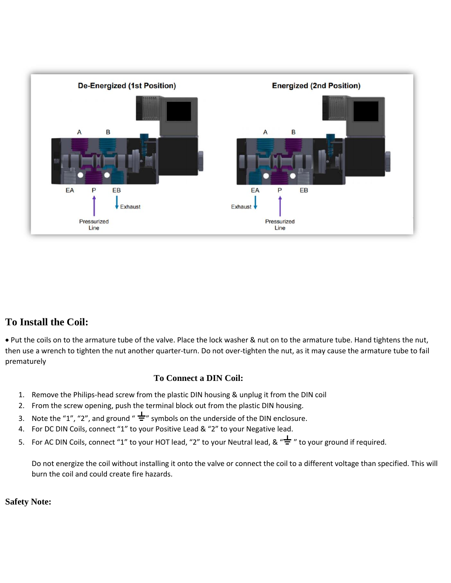

### **To Install the Coil:**

• Put the coils on to the armature tube of the valve. Place the lock washer & nut on to the armature tube. Hand tightens the nut, then use a wrench to tighten the nut another quarter-turn. Do not over-tighten the nut, as it may cause the armature tube to fail prematurely

#### **To Connect a DIN Coil:**

- 1. Remove the Philips-head screw from the plastic DIN housing & unplug it from the DIN coil
- 2. From the screw opening, push the terminal block out from the plastic DIN housing.
- 3. Note the "1", "2", and ground "  $\frac{1}{2}$ " symbols on the underside of the DIN enclosure.
- 4. For DC DIN Coils, connect "1" to your Positive Lead & "2" to your Negative lead.
- 5. For AC DIN Coils, connect "1" to your HOT lead, "2" to your Neutral lead, & " $\frac{1}{2}$ " to your ground if required.

Do not energize the coil without installing it onto the valve or connect the coil to a different voltage than specified. This will burn the coil and could create fire hazards.

#### **Safety Note:**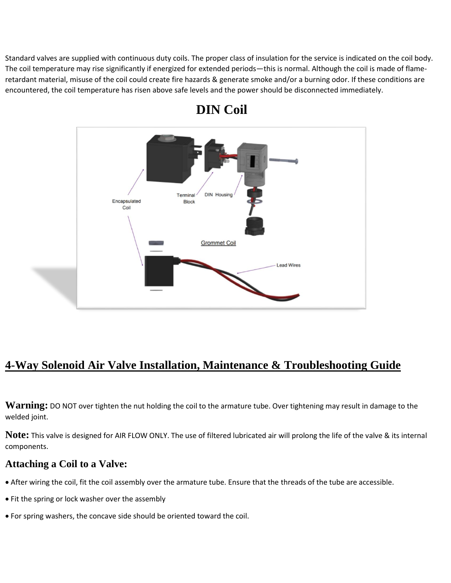Standard valves are supplied with continuous duty coils. The proper class of insulation for the service is indicated on the coil body. The coil temperature may rise significantly if energized for extended periods—this is normal. Although the coil is made of flameretardant material, misuse of the coil could create fire hazards & generate smoke and/or a burning odor. If these conditions are encountered, the coil temperature has risen above safe levels and the power should be disconnected immediately.



## **DIN Coil**

## **4-Way Solenoid Air Valve Installation, Maintenance & Troubleshooting Guide**

**Warning:** DO NOT over tighten the nut holding the coil to the armature tube. Over tightening may result in damage to the welded joint.

**Note:** This valve is designed for AIR FLOW ONLY. The use of filtered lubricated air will prolong the life of the valve & its internal components.

### **Attaching a Coil to a Valve:**

- After wiring the coil, fit the coil assembly over the armature tube. Ensure that the threads of the tube are accessible.
- Fit the spring or lock washer over the assembly
- For spring washers, the concave side should be oriented toward the coil.